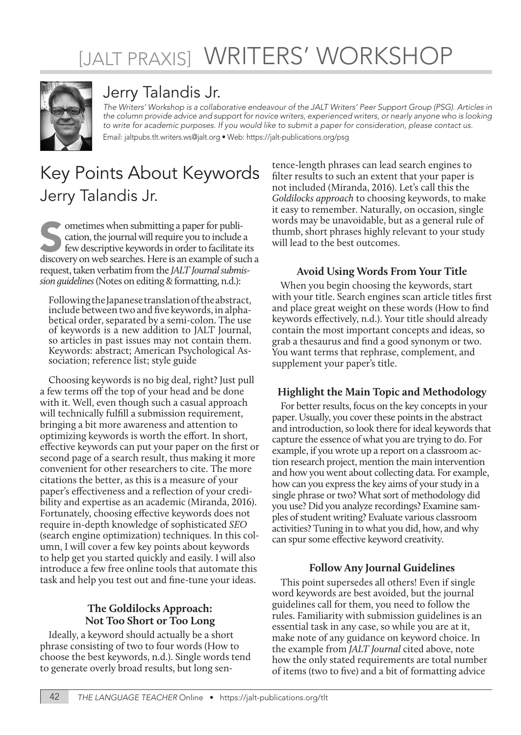# [JALT PRAXIS] WRITERS' WORKSHOP



# Jerry Talandis Jr.

*The Writers' Workshop is a collaborative endeavour of the JALT Writers' Peer Support Group (PSG). Articles in the column provide advice and support for novice writers, experienced writers, or nearly anyone who is looking to write for academic purposes. If you would like to submit a paper for consideration, please contact us.* Email: jaltpubs.tlt.writers.ws@jalt.org • Web: https://jalt-publications.org/psg

# Key Points About Keywords Jerry Talandis Jr.

Sometimes when submitting a paper for publication, the journal will require you to include a few descriptive keywords in order to facilitate its discovery on web searches. Here is an example of such a cation, the journal will require you to include a few descriptive keywords in order to facilitate its request, taken verbatim from the *JALT Journal submission guidelines* (Notes on editing & formatting, n.d.):

Following the Japanese translation of the abstract, include between two and five keywords, in alphabetical order, separated by a semi-colon. The use of keywords is a new addition to JALT Journal, so articles in past issues may not contain them. Keywords: abstract; American Psychological As- sociation; reference list; style guide

Choosing keywords is no big deal, right? Just pull a few terms off the top of your head and be done with it. Well, even though such a casual approach will technically fulfill a submission requirement, bringing a bit more awareness and attention to optimizing keywords is worth the effort. In short, effective keywords can put your paper on the first or second page of a search result, thus making it more convenient for other researchers to cite. The more citations the better, as this is a measure of your paper's effectiveness and a reflection of your credibility and expertise as an academic (Miranda, 2016). Fortunately, choosing effective keywords does not require in-depth knowledge of sophisticated *SEO* (search engine optimization) techniques. In this column, I will cover a few key points about keywords to help get you started quickly and easily. I will also introduce a few free online tools that automate this task and help you test out and fine-tune your ideas.

## **The Goldilocks Approach: Not Too Short or Too Long**

Ideally, a keyword should actually be a short phrase consisting of two to four words (How to choose the best keywords, n.d.). Single words tend to generate overly broad results, but long sentence-length phrases can lead search engines to filter results to such an extent that your paper is not included (Miranda, 2016). Let's call this the *Goldilocks approach* to choosing keywords, to make it easy to remember. Naturally, on occasion, single words may be unavoidable, but as a general rule of thumb, short phrases highly relevant to your study will lead to the best outcomes.

# **Avoid Using Words From Your Title**

When you begin choosing the keywords, start with your title. Search engines scan article titles first and place great weight on these words (How to find keywords effectively, n.d.). Your title should already contain the most important concepts and ideas, so grab a thesaurus and find a good synonym or two. You want terms that rephrase, complement, and supplement your paper's title.

# **Highlight the Main Topic and Methodology**

For better results, focus on the key concepts in your paper. Usually, you cover these points in the abstract and introduction, so look there for ideal keywords that capture the essence of what you are trying to do. For example, if you wrote up a report on a classroom action research project, mention the main intervention and how you went about collecting data. For example, how can you express the key aims of your study in a single phrase or two? What sort of methodology did you use? Did you analyze recordings? Examine samples of student writing? Evaluate various classroom activities? Tuning in to what you did, how, and why can spur some effective keyword creativity.

# **Follow Any Journal Guidelines**

This point supersedes all others! Even if single word keywords are best avoided, but the journal guidelines call for them, you need to follow the rules. Familiarity with submission guidelines is an essential task in any case, so while you are at it, make note of any guidance on keyword choice. In the example from *JALT Journal* cited above, note how the only stated requirements are total number of items (two to five) and a bit of formatting advice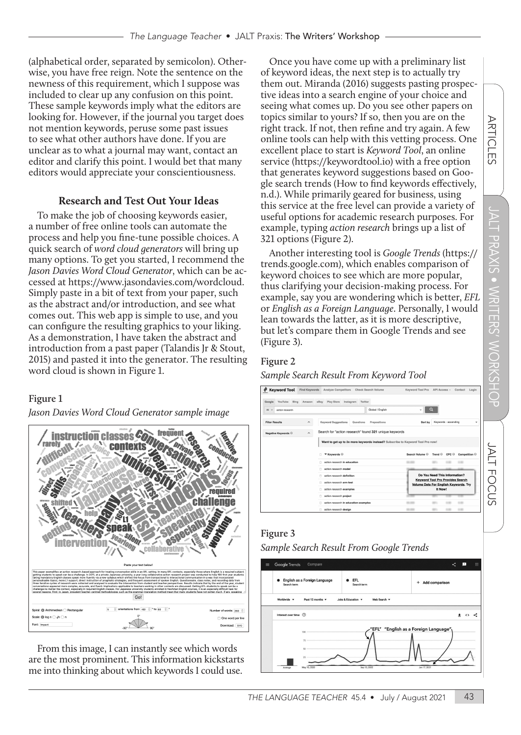(alphabetical order, separated by semicolon). Otherwise, you have free reign. Note the sentence on the newness of this requirement, which I suppose was included to clear up any confusion on this point. These sample keywords imply what the editors are looking for. However, if the journal you target does not mention keywords, peruse some past issues to see what other authors have done. If you are unclear as to what a journal may want, contact an editor and clarify this point. I would bet that many editors would appreciate your conscientiousness.

## **Research and Test Out Your Ideas**

To make the job of choosing keywords easier, a number of free online tools can automate the process and help you fine-tune possible choices. A quick search of *word cloud generators* will bring up many options. To get you started, I recommend the *Jason Davies Word Cloud Generator*, which can be accessed at https://www.jasondavies.com/wordcloud. Simply paste in a bit of text from your paper, such as the abstract and/or introduction, and see what comes out. This web app is simple to use, and you can configure the resulting graphics to your liking. As a demonstration, I have taken the abstract and introduction from a past paper (Talandis Jr & Stout, 2015) and pasted it into the generator. The resulting word cloud is shown in Figure 1.

#### **Figure 1**

*Jason Davies Word Cloud Generator sample image*



From this image, I can instantly see which words are the most prominent. This information kickstarts me into thinking about which keywords I could use.

Once you have come up with a preliminary list of keyword ideas, the next step is to actually try them out. Miranda (2016) suggests pasting prospective ideas into a search engine of your choice and seeing what comes up. Do you see other papers on topics similar to yours? If so, then you are on the right track. If not, then refine and try again. A few online tools can help with this vetting process. One excellent place to start is *Keyword Tool*, an online service (https://keywordtool.io) with a free option that generates keyword suggestions based on Google search trends (How to find keywords effectively, n.d.). While primarily geared for business, using this service at the free level can provide a variety of useful options for academic research purposes. For example, typing *action research* brings up a list of 321 options (Figure 2).

Another interesting tool is *Google Trends* (https:// trends.google.com), which enables comparison of keyword choices to see which are more popular, thus clarifying your decision-making process. For example, say you are wondering which is better, *EFL* or *English as a Foreign Language*. Personally, I would lean towards the latter, as it is more descriptive, but let's compare them in Google Trends and see (Figure 3).

### **Figure 2**

#### *Sample Search Result From Keyword Tool*

| <b>Keyword Tool</b>                   | Find Keywords           | Analyze Competitors                                                            | Check Search Volume                                    | Keyword Tool Pro | API Access v                                                                            | Contact<br>Login         |
|---------------------------------------|-------------------------|--------------------------------------------------------------------------------|--------------------------------------------------------|------------------|-----------------------------------------------------------------------------------------|--------------------------|
| Google                                |                         | YouTube Bing Amazon eBay Play Store                                            | Instagram Twitter                                      |                  |                                                                                         |                          |
| A<br>action research<br>$\rightarrow$ |                         |                                                                                | Global / English                                       | ٠                | o                                                                                       |                          |
| <b>Filter Results</b>                 | ́                       | Keyword Suggestions                                                            | Prepositions<br>Questions                              | Sort by          | Keywords - ascending                                                                    |                          |
| Negative Keywords <sup>@</sup>        | $\widehat{\phantom{a}}$ |                                                                                | Search for "action research" found 321 unique keywords |                  |                                                                                         |                          |
|                                       |                         | Want to get up to 2x more keywords instead? Subscribe to Keyword Tool Pro now! |                                                        |                  |                                                                                         |                          |
|                                       |                         | ▼ Keywords ©                                                                   |                                                        | Search Volume C  | Trend <sup>O</sup><br>CPC <sub>0</sub>                                                  | Competition <sup>O</sup> |
|                                       |                         | action research in education                                                   |                                                        |                  |                                                                                         |                          |
|                                       |                         | action research model                                                          |                                                        |                  |                                                                                         |                          |
|                                       |                         | action research definition                                                     |                                                        |                  | Do You Need This Information?                                                           |                          |
|                                       |                         | action research arm test                                                       |                                                        |                  | <b>Keyword Tool Pro Provides Search</b><br><b>Volume Data For English Keywords. Try</b> |                          |
|                                       |                         | action research examples<br>n                                                  |                                                        |                  | It Now!                                                                                 |                          |
|                                       |                         | action research project<br>n                                                   |                                                        |                  |                                                                                         |                          |
|                                       |                         | action research in education examples                                          |                                                        |                  |                                                                                         | ٠                        |
|                                       |                         |                                                                                |                                                        |                  |                                                                                         |                          |

# **Figure 3**

*Sample Search Result From Google Trends*



**ARTICLES**